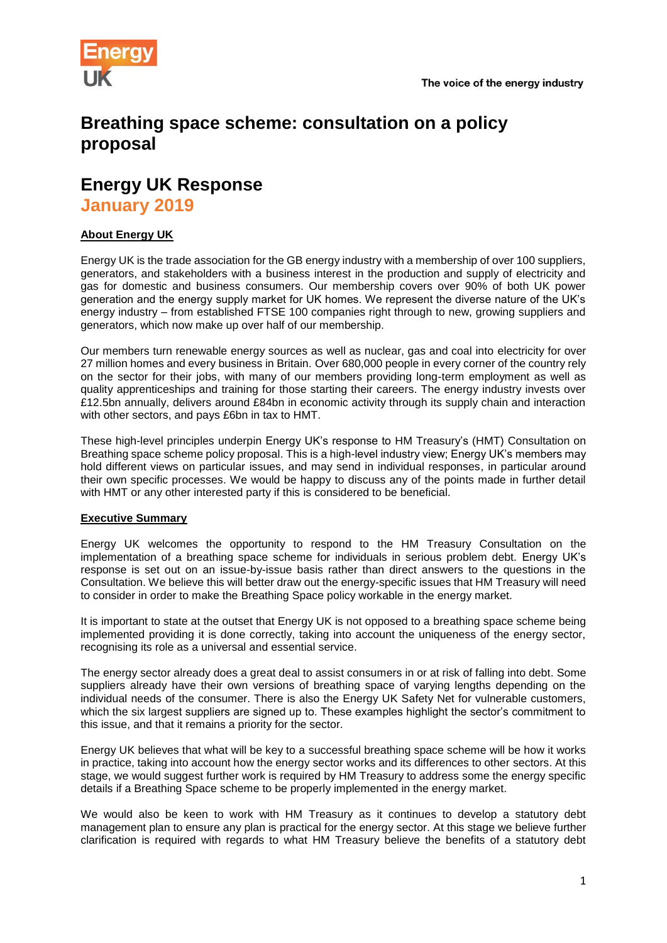

# **Breathing space scheme: consultation on a policy proposal**

## **Energy UK Response January 2019**

## **About Energy UK**

Energy UK is the trade association for the GB energy industry with a membership of over 100 suppliers, generators, and stakeholders with a business interest in the production and supply of electricity and gas for domestic and business consumers. Our membership covers over 90% of both UK power generation and the energy supply market for UK homes. We represent the diverse nature of the UK's energy industry – from established FTSE 100 companies right through to new, growing suppliers and generators, which now make up over half of our membership.

Our members turn renewable energy sources as well as nuclear, gas and coal into electricity for over 27 million homes and every business in Britain. Over 680,000 people in every corner of the country rely on the sector for their jobs, with many of our members providing long-term employment as well as quality apprenticeships and training for those starting their careers. The energy industry invests over £12.5bn annually, delivers around £84bn in economic activity through its supply chain and interaction with other sectors, and pays £6bn in tax to HMT.

These high-level principles underpin Energy UK's response to HM Treasury's (HMT) Consultation on Breathing space scheme policy proposal. This is a high-level industry view; Energy UK's members may hold different views on particular issues, and may send in individual responses, in particular around their own specific processes. We would be happy to discuss any of the points made in further detail with HMT or any other interested party if this is considered to be beneficial.

## **Executive Summary**

Energy UK welcomes the opportunity to respond to the HM Treasury Consultation on the implementation of a breathing space scheme for individuals in serious problem debt. Energy UK's response is set out on an issue-by-issue basis rather than direct answers to the questions in the Consultation. We believe this will better draw out the energy-specific issues that HM Treasury will need to consider in order to make the Breathing Space policy workable in the energy market.

It is important to state at the outset that Energy UK is not opposed to a breathing space scheme being implemented providing it is done correctly, taking into account the uniqueness of the energy sector, recognising its role as a universal and essential service.

The energy sector already does a great deal to assist consumers in or at risk of falling into debt. Some suppliers already have their own versions of breathing space of varying lengths depending on the individual needs of the consumer. There is also the Energy UK Safety Net for vulnerable customers, which the six largest suppliers are signed up to. These examples highlight the sector's commitment to this issue, and that it remains a priority for the sector.

Energy UK believes that what will be key to a successful breathing space scheme will be how it works in practice, taking into account how the energy sector works and its differences to other sectors. At this stage, we would suggest further work is required by HM Treasury to address some the energy specific details if a Breathing Space scheme to be properly implemented in the energy market.

We would also be keen to work with HM Treasury as it continues to develop a statutory debt management plan to ensure any plan is practical for the energy sector. At this stage we believe further clarification is required with regards to what HM Treasury believe the benefits of a statutory debt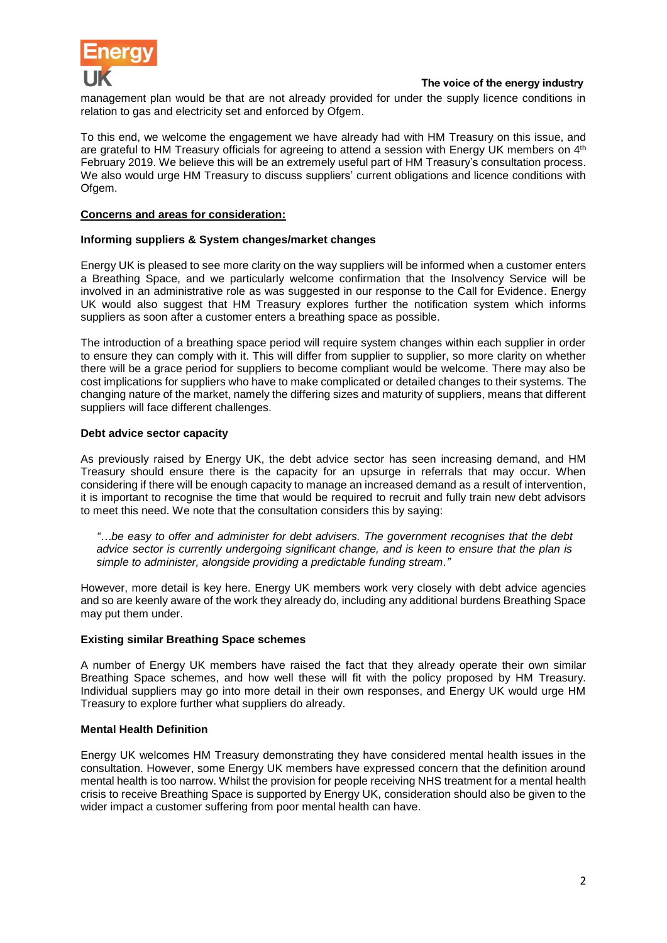

management plan would be that are not already provided for under the supply licence conditions in relation to gas and electricity set and enforced by Ofgem.

To this end, we welcome the engagement we have already had with HM Treasury on this issue, and are grateful to HM Treasury officials for agreeing to attend a session with Energy UK members on 4<sup>th</sup> February 2019. We believe this will be an extremely useful part of HM Treasury's consultation process. We also would urge HM Treasury to discuss suppliers' current obligations and licence conditions with Ofgem.

## **Concerns and areas for consideration:**

## **Informing suppliers & System changes/market changes**

Energy UK is pleased to see more clarity on the way suppliers will be informed when a customer enters a Breathing Space, and we particularly welcome confirmation that the Insolvency Service will be involved in an administrative role as was suggested in our response to the Call for Evidence. Energy UK would also suggest that HM Treasury explores further the notification system which informs suppliers as soon after a customer enters a breathing space as possible.

The introduction of a breathing space period will require system changes within each supplier in order to ensure they can comply with it. This will differ from supplier to supplier, so more clarity on whether there will be a grace period for suppliers to become compliant would be welcome. There may also be cost implications for suppliers who have to make complicated or detailed changes to their systems. The changing nature of the market, namely the differing sizes and maturity of suppliers, means that different suppliers will face different challenges.

#### **Debt advice sector capacity**

As previously raised by Energy UK, the debt advice sector has seen increasing demand, and HM Treasury should ensure there is the capacity for an upsurge in referrals that may occur. When considering if there will be enough capacity to manage an increased demand as a result of intervention, it is important to recognise the time that would be required to recruit and fully train new debt advisors to meet this need. We note that the consultation considers this by saying:

*"…be easy to offer and administer for debt advisers. The government recognises that the debt advice sector is currently undergoing significant change, and is keen to ensure that the plan is simple to administer, alongside providing a predictable funding stream."*

However, more detail is key here. Energy UK members work very closely with debt advice agencies and so are keenly aware of the work they already do, including any additional burdens Breathing Space may put them under.

#### **Existing similar Breathing Space schemes**

A number of Energy UK members have raised the fact that they already operate their own similar Breathing Space schemes, and how well these will fit with the policy proposed by HM Treasury. Individual suppliers may go into more detail in their own responses, and Energy UK would urge HM Treasury to explore further what suppliers do already.

#### **Mental Health Definition**

Energy UK welcomes HM Treasury demonstrating they have considered mental health issues in the consultation. However, some Energy UK members have expressed concern that the definition around mental health is too narrow. Whilst the provision for people receiving NHS treatment for a mental health crisis to receive Breathing Space is supported by Energy UK, consideration should also be given to the wider impact a customer suffering from poor mental health can have.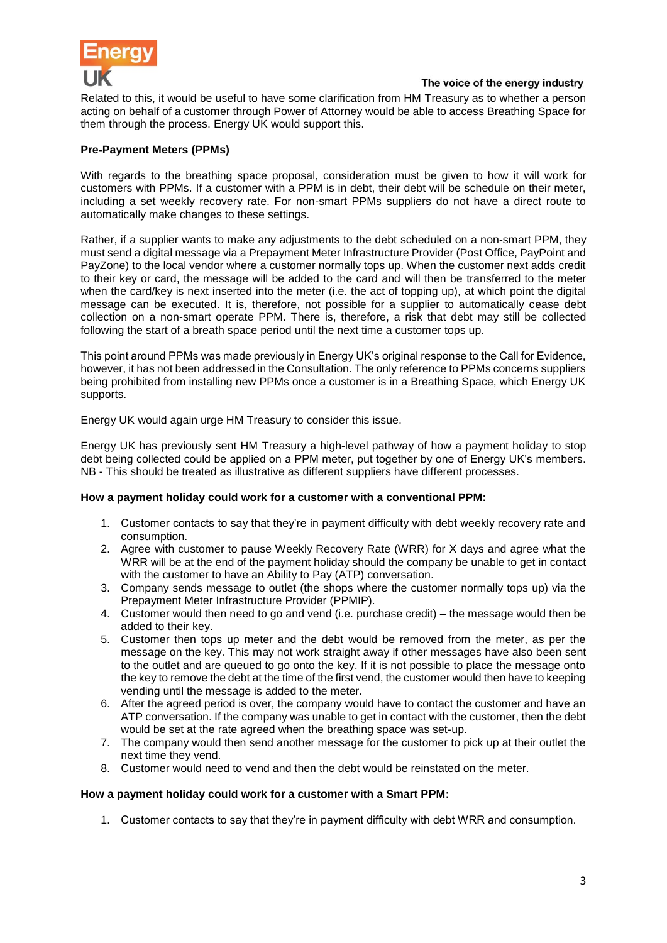

Related to this, it would be useful to have some clarification from HM Treasury as to whether a person acting on behalf of a customer through Power of Attorney would be able to access Breathing Space for them through the process. Energy UK would support this.

## **Pre-Payment Meters (PPMs)**

With regards to the breathing space proposal, consideration must be given to how it will work for customers with PPMs. If a customer with a PPM is in debt, their debt will be schedule on their meter, including a set weekly recovery rate. For non-smart PPMs suppliers do not have a direct route to automatically make changes to these settings.

Rather, if a supplier wants to make any adjustments to the debt scheduled on a non-smart PPM, they must send a digital message via a Prepayment Meter Infrastructure Provider (Post Office, PayPoint and PayZone) to the local vendor where a customer normally tops up. When the customer next adds credit to their key or card, the message will be added to the card and will then be transferred to the meter when the card/key is next inserted into the meter (i.e. the act of topping up), at which point the digital message can be executed. It is, therefore, not possible for a supplier to automatically cease debt collection on a non-smart operate PPM. There is, therefore, a risk that debt may still be collected following the start of a breath space period until the next time a customer tops up.

This point around PPMs was made previously in Energy UK's original response to the Call for Evidence, however, it has not been addressed in the Consultation. The only reference to PPMs concerns suppliers being prohibited from installing new PPMs once a customer is in a Breathing Space, which Energy UK supports.

Energy UK would again urge HM Treasury to consider this issue.

Energy UK has previously sent HM Treasury a high-level pathway of how a payment holiday to stop debt being collected could be applied on a PPM meter, put together by one of Energy UK's members. NB - This should be treated as illustrative as different suppliers have different processes.

#### **How a payment holiday could work for a customer with a conventional PPM:**

- 1. Customer contacts to say that they're in payment difficulty with debt weekly recovery rate and consumption.
- 2. Agree with customer to pause Weekly Recovery Rate (WRR) for X days and agree what the WRR will be at the end of the payment holiday should the company be unable to get in contact with the customer to have an Ability to Pay (ATP) conversation.
- 3. Company sends message to outlet (the shops where the customer normally tops up) via the Prepayment Meter Infrastructure Provider (PPMIP).
- 4. Customer would then need to go and vend (i.e. purchase credit) the message would then be added to their key.
- 5. Customer then tops up meter and the debt would be removed from the meter, as per the message on the key. This may not work straight away if other messages have also been sent to the outlet and are queued to go onto the key. If it is not possible to place the message onto the key to remove the debt at the time of the first vend, the customer would then have to keeping vending until the message is added to the meter.
- 6. After the agreed period is over, the company would have to contact the customer and have an ATP conversation. If the company was unable to get in contact with the customer, then the debt would be set at the rate agreed when the breathing space was set-up.
- 7. The company would then send another message for the customer to pick up at their outlet the next time they vend.
- 8. Customer would need to vend and then the debt would be reinstated on the meter.

#### **How a payment holiday could work for a customer with a Smart PPM:**

1. Customer contacts to say that they're in payment difficulty with debt WRR and consumption.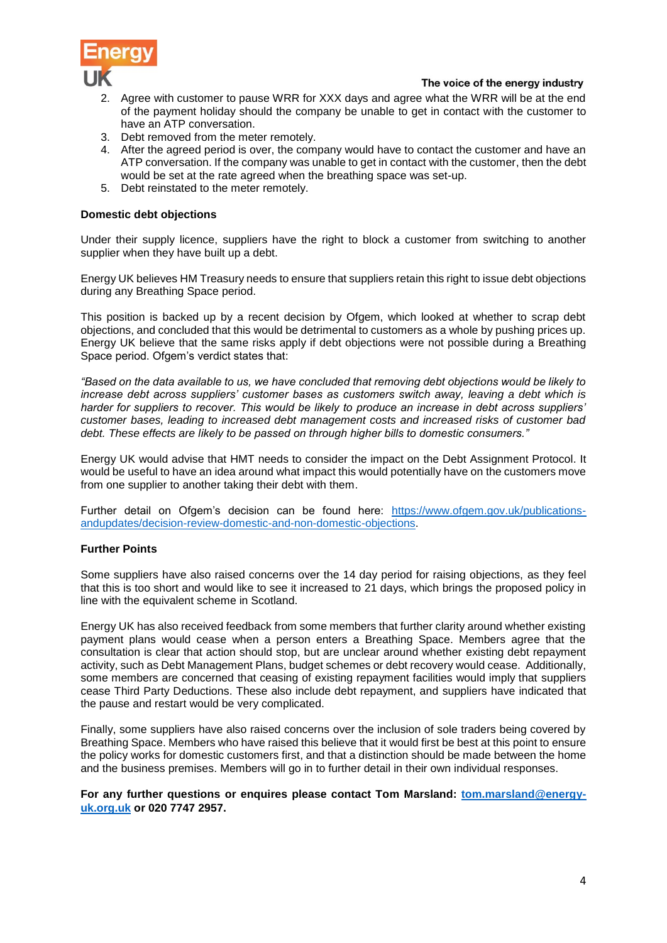

- 2. Agree with customer to pause WRR for XXX days and agree what the WRR will be at the end of the payment holiday should the company be unable to get in contact with the customer to have an ATP conversation.
- 3. Debt removed from the meter remotely.
- 4. After the agreed period is over, the company would have to contact the customer and have an ATP conversation. If the company was unable to get in contact with the customer, then the debt would be set at the rate agreed when the breathing space was set-up.
- 5. Debt reinstated to the meter remotely.

## **Domestic debt objections**

Under their supply licence, suppliers have the right to block a customer from switching to another supplier when they have built up a debt.

Energy UK believes HM Treasury needs to ensure that suppliers retain this right to issue debt objections during any Breathing Space period.

This position is backed up by a recent decision by Ofgem, which looked at whether to scrap debt objections, and concluded that this would be detrimental to customers as a whole by pushing prices up. Energy UK believe that the same risks apply if debt objections were not possible during a Breathing Space period. Ofgem's verdict states that:

*"Based on the data available to us, we have concluded that removing debt objections would be likely to increase debt across suppliers' customer bases as customers switch away, leaving a debt which is harder for suppliers to recover. This would be likely to produce an increase in debt across suppliers' customer bases, leading to increased debt management costs and increased risks of customer bad debt. These effects are likely to be passed on through higher bills to domestic consumers."* 

Energy UK would advise that HMT needs to consider the impact on the Debt Assignment Protocol. It would be useful to have an idea around what impact this would potentially have on the customers move from one supplier to another taking their debt with them.

Further detail on Ofgem's decision can be found here: [https://www.ofgem.gov.uk/publications](https://www.ofgem.gov.uk/publications-andupdates/decision-review-domestic-and-non-domestic-objections)[andupdates/decision-review-domestic-and-non-domestic-objections.](https://www.ofgem.gov.uk/publications-andupdates/decision-review-domestic-and-non-domestic-objections)

#### **Further Points**

Some suppliers have also raised concerns over the 14 day period for raising objections, as they feel that this is too short and would like to see it increased to 21 days, which brings the proposed policy in line with the equivalent scheme in Scotland.

Energy UK has also received feedback from some members that further clarity around whether existing payment plans would cease when a person enters a Breathing Space. Members agree that the consultation is clear that action should stop, but are unclear around whether existing debt repayment activity, such as Debt Management Plans, budget schemes or debt recovery would cease. Additionally, some members are concerned that ceasing of existing repayment facilities would imply that suppliers cease Third Party Deductions. These also include debt repayment, and suppliers have indicated that the pause and restart would be very complicated.

Finally, some suppliers have also raised concerns over the inclusion of sole traders being covered by Breathing Space. Members who have raised this believe that it would first be best at this point to ensure the policy works for domestic customers first, and that a distinction should be made between the home and the business premises. Members will go in to further detail in their own individual responses.

## **For any further questions or enquires please contact Tom Marsland: [tom.marsland@energy](mailto:tom.marsland@energy-uk.org.uk)[uk.org.uk](mailto:tom.marsland@energy-uk.org.uk) or 020 7747 2957.**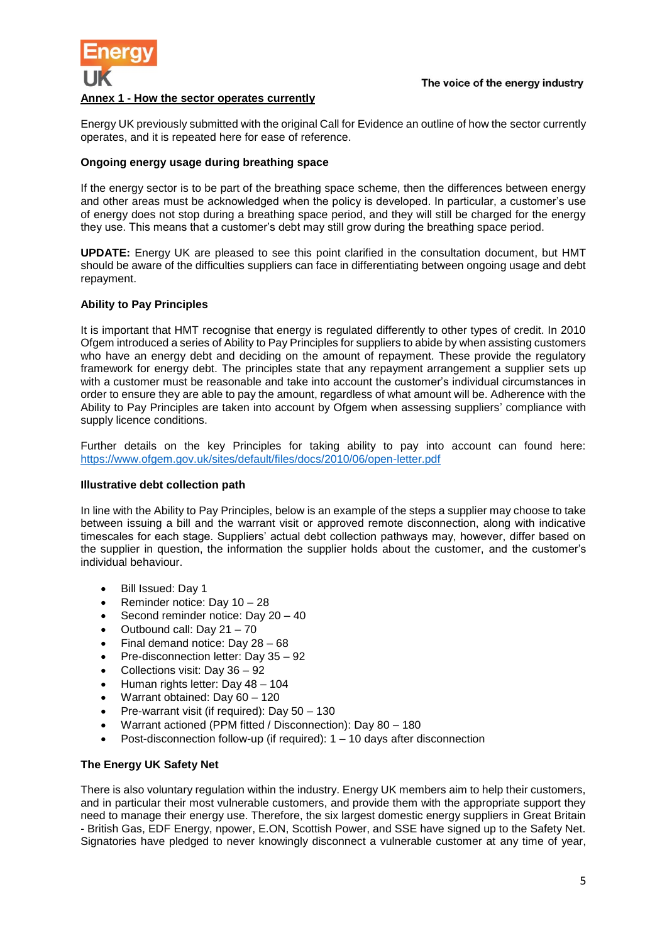

#### **Annex 1 - How the sector operates currently**

Energy UK previously submitted with the original Call for Evidence an outline of how the sector currently operates, and it is repeated here for ease of reference.

#### **Ongoing energy usage during breathing space**

If the energy sector is to be part of the breathing space scheme, then the differences between energy and other areas must be acknowledged when the policy is developed. In particular, a customer's use of energy does not stop during a breathing space period, and they will still be charged for the energy they use. This means that a customer's debt may still grow during the breathing space period.

**UPDATE:** Energy UK are pleased to see this point clarified in the consultation document, but HMT should be aware of the difficulties suppliers can face in differentiating between ongoing usage and debt repayment.

#### **Ability to Pay Principles**

It is important that HMT recognise that energy is regulated differently to other types of credit. In 2010 Ofgem introduced a series of Ability to Pay Principles for suppliers to abide by when assisting customers who have an energy debt and deciding on the amount of repayment. These provide the regulatory framework for energy debt. The principles state that any repayment arrangement a supplier sets up with a customer must be reasonable and take into account the customer's individual circumstances in order to ensure they are able to pay the amount, regardless of what amount will be. Adherence with the Ability to Pay Principles are taken into account by Ofgem when assessing suppliers' compliance with supply licence conditions.

Further details on the key Principles for taking ability to pay into account can found here: <https://www.ofgem.gov.uk/sites/default/files/docs/2010/06/open-letter.pdf>

#### **Illustrative debt collection path**

In line with the Ability to Pay Principles, below is an example of the steps a supplier may choose to take between issuing a bill and the warrant visit or approved remote disconnection, along with indicative timescales for each stage. Suppliers' actual debt collection pathways may, however, differ based on the supplier in question, the information the supplier holds about the customer, and the customer's individual behaviour.

- Bill Issued: Day 1
- Reminder notice: Day 10 28
- Second reminder notice: Day 20 40
- Outbound call: Day 21 70
- Final demand notice: Day 28 68
- Pre-disconnection letter: Day 35 92
- Collections visit: Day 36 92
- Human rights letter: Day 48 104
- Warrant obtained: Day 60 120
- Pre-warrant visit (if required): Day 50 130
- Warrant actioned (PPM fitted / Disconnection): Day 80 180
- Post-disconnection follow-up (if required): 1 10 days after disconnection

#### **The Energy UK Safety Net**

There is also voluntary regulation within the industry. Energy UK members aim to help their customers, and in particular their most vulnerable customers, and provide them with the appropriate support they need to manage their energy use. Therefore, the six largest domestic energy suppliers in Great Britain - British Gas, EDF Energy, npower, E.ON, Scottish Power, and SSE have signed up to the Safety Net. Signatories have pledged to never knowingly disconnect a vulnerable customer at any time of year,